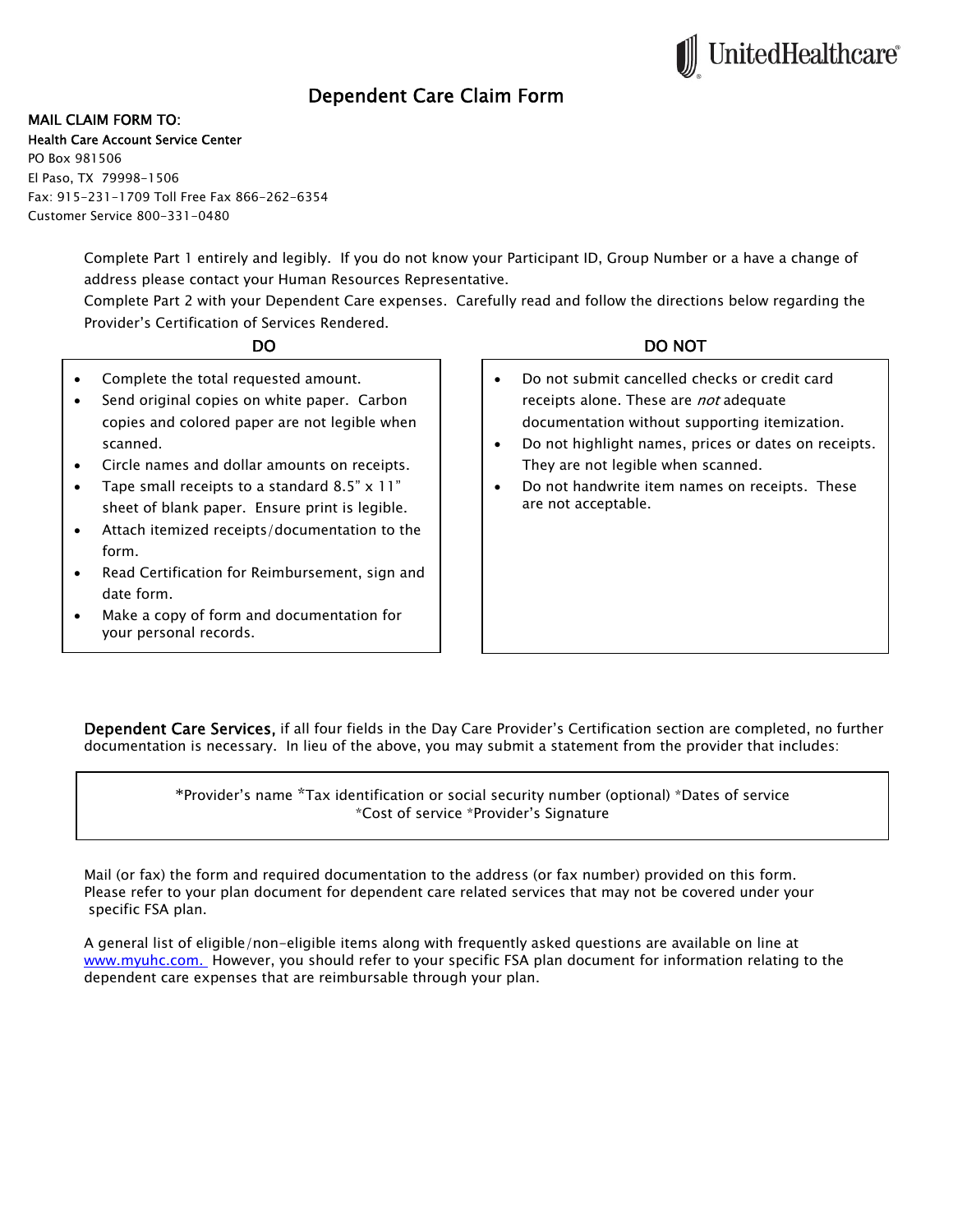# Dependent Care Claim Form

### MAIL CLAIM FORM TO:

#### Health Care Account Service Center

PO Box 981506 El Paso, TX 79998-1506 Fax: 915-231-1709 Toll Free Fax 866-262-6354 Customer Service 800-331-0480

> Complete Part 1 entirely and legibly. If you do not know your Participant ID, Group Number or a have a change of address please contact your Human Resources Representative.

> Complete Part 2 with your Dependent Care expenses. Carefully read and follow the directions below regarding the Provider's Certification of Services Rendered.

- Complete the total requested amount.
- Send original copies on white paper. Carbon copies and colored paper are not legible when scanned.
- Circle names and dollar amounts on receipts.
- Tape small receipts to a standard 8.5" x 11" sheet of blank paper. Ensure print is legible.
- Attach itemized receipts/documentation to the form.
- Read Certification for Reimbursement, sign and date form.
- Make a copy of form and documentation for your personal records.

## DO DO NOT

**JnitedHealthcare®** 

- Do not submit cancelled checks or credit card receipts alone. These are *not* adequate documentation without supporting itemization.
- Do not highlight names, prices or dates on receipts. They are not legible when scanned.
- Do not handwrite item names on receipts. These are not acceptable.

Dependent Care Services, if all four fields in the Day Care Provider's Certification section are completed, no further documentation is necessary. In lieu of the above, you may submit a statement from the provider that includes:

> \*Provider's name \*Tax identification or social security number (optional) \*Dates of service \*Cost of service \*Provider's Signature

Mail (or fax) the form and required documentation to the address (or fax number) provided on this form. Please refer to your plan document for dependent care related services that may not be covered under your specific FSA plan.

A general list of eligible/non-eligible items along with frequently asked questions are available on line at www.myuhc.com. However, you should refer to your specific FSA plan document for information relating to the dependent care expenses that are reimbursable through your plan.